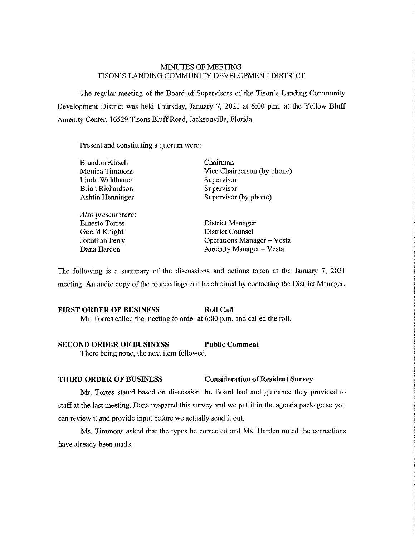# MINUTES OF MEETING TISON'S LANDING COMMUNITY DEVELOPMENT DISTRICT

The regular meeting of the Board of Supervisors of the Tison's Landing Community Development District was held Thursday, January 7, 2021 at 6:00 p.m. at the Yellow Bluff Amenity Center, 16529 Tisons Bluff Road, Jacksonville, Florida.

Present and constituting a quorum were:

| <b>Brandon Kirsch</b> | Chairman                          |
|-----------------------|-----------------------------------|
| Monica Timmons        | Vice Chairperson (by phone)       |
| Linda Waldhauer       | Supervisor                        |
| Brian Richardson      | Supervisor                        |
| Ashtin Henninger      | Supervisor (by phone)             |
| Also present were:    |                                   |
| Ernesto Torres        | <b>District Manager</b>           |
| Gerald Knight         | <b>District Counsel</b>           |
| Jonathan Perry        | <b>Operations Manager</b> – Vesta |
| Dana Harden           | Amenity Manager - Vesta           |

The following is a summary of the discussions and actions taken at the January 7, 2021 meeting. An audio copy of the proceedings can be obtained by contacting the District Manager.

## **FIRST ORDER OF BUSINESS Roll Call** Mr. Torres called the meeting to order at 6:00 p.m. and called the roll.

## **SECOND ORDER OF BUSINESS Public Comment**

There being none, the next item followed.

#### **THIRD ORDER OF BUSINESS Consideration of Resident Survey**

Mr. Torres stated based on discussion the Board had and guidance they provided to staff at the last meeting, Dana prepared this survey and we put it in the agenda package so you can review it and provide input before we actually send it out.

Ms. Timmons asked that the typos be corrected and Ms. Harden noted the corrections have already been made.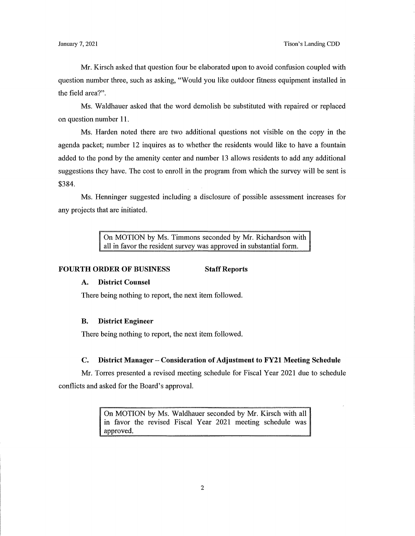Mr. Kirsch asked that question four be elaborated upon to avoid confusion coupled with question number three, such as asking, "Would you like outdoor fitness equipment installed in the field area?".

Ms. Waldhauer asked that the word demolish be substituted with repaired or replaced on question number 11.

Ms. Harden noted there are two additional questions not visible on the copy in the agenda packet; number 12 inquires as to whether the residents would like to have a fountain added to the pond by the amenity center and number 13 allows residents to add any additional suggestions they have. The cost to enroll in the program from which the survey will be sent is \$384.

Ms. Henninger suggested including a disclosure of possible assessment increases for any projects that are initiated.

> On MOTION by Ms. Timmons seconded by Mr. Richardson with all in favor the resident survey was approved in substantial form.

#### **FOURTH ORDER OF BUSINESS Staff Reports**

### **A. District Counsel**

There being nothing to report, the next item followed.

### **B. District Engineer**

There being nothing to report, the next item followed.

#### **C.** District Manager – Consideration of Adjustment to FY21 Meeting Schedule

Mr. Torres presented a revised meeting schedule for Fiscal Year 2021 due to schedule conflicts and asked for the Board's approval.

> On MOTION by Ms. Waldhauer seconded by Mr. Kirsch with all in favor the revised Fiscal Year 2021 meeting schedule was approved.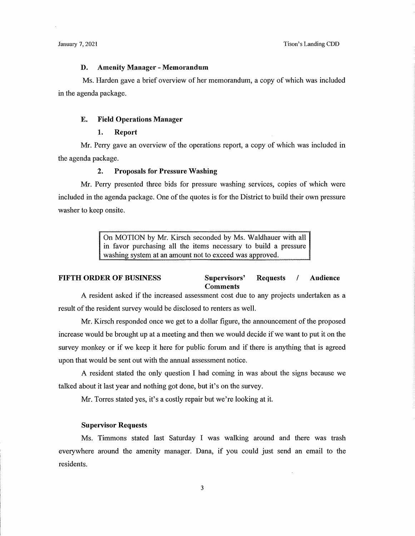## **D. Amenity Manager** - **Memorandum**

Ms. Harden gave a brief overview of her memorandum, a copy of which was included in the agenda package.

### **E. Field Operations Manager**

### 1. **Report**

Mr. Perry gave an overview of the operations report, a copy of which was included in the agenda package.

### **2. Proposals for Pressure Washing**

Mr. Perry presented three bids for pressure washing services, copies of which were included in the agenda package. One of the quotes is for the District to build their own pressure washer to keep onsite.

> On MOTION by Mr. Kirsch seconded by Ms. Waldbauer with all in favor purchasing all the items necessary to build a pressure washing system at an amount not to exceed was approved.

#### **FIFTH ORDER OF BUSINESS Supervisors' Requests** / **Audience Comments**

A resident asked if the increased assessment cost due to any projects undertaken as a result of the resident survey would be disclosed to renters as well.

Mr. Kirsch responded once we get to a dollar figure, the announcement of the proposed increase would be brought up at a meeting and then we would decide if we want to put it on the survey monkey or if we keep it here for public forum and if there is anything that is agreed upon that would be sent out with the annual assessment notice.

A resident stated the only question I had coming in was about the signs because we talked about it last year and nothing got done, but it's on the survey.

Mr. Torres stated yes, it's a costly repair but we're looking at it.

### **Supervisor Requests**

Ms. Timmons stated last Saturday I was walking around and there was trash everywhere around the amenity manager. Dana, if you could just send an email to the residents.

 $\bar{z}$